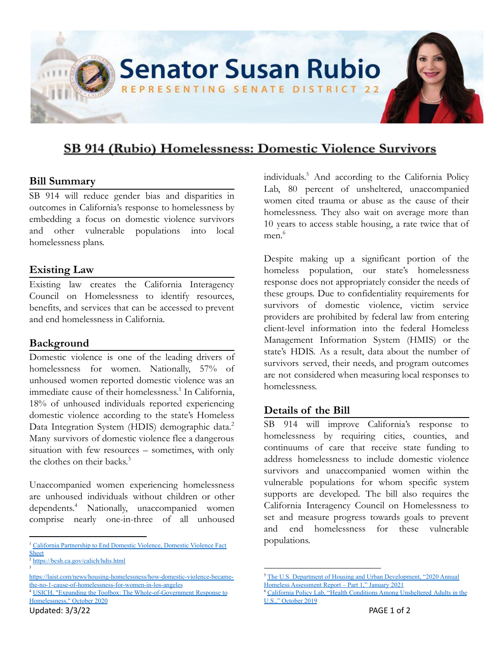

# SB 914 (Rubio) Homelessness: Domestic Violence Survivors

## **Bill Summary**

SB 914 will reduce gender bias and disparities in outcomes in California's response to homelessness by embedding a focus on domestic violence survivors and other vulnerable populations into local homelessness plans.

## **Existing Law**

Existing law creates the California Interagency Council on Homelessness to identify resources, benefits, and services that can be accessed to prevent and end homelessness in California.

## **Background**

Domestic violence is one of the leading drivers of homelessness for women. Nationally, 57% of unhoused women reported domestic violence was an immediate cause of their homelessness.<sup>1</sup> In California, 18% of unhoused individuals reported experiencing domestic violence according to the state's Homeless Data Integration System (HDIS) demographic data.<sup>2</sup> Many survivors of domestic violence flee a dangerous situation with few resources – sometimes, with only the clothes on their backs. 3

Unaccompanied women experiencing homelessness are unhoused individuals without children or other dependents.<sup>4</sup> Nationally, unaccompanied women comprise nearly one-in-three of all unhoused

<sup>4</sup> USICH, "Expanding the Toolbox: The [Whole-of-Government](https://www.usich.gov/resources/uploads/asset_library/USICH-Expanding-the-Toolbox.pdf) Response to [Homelessness,"](https://www.usich.gov/resources/uploads/asset_library/USICH-Expanding-the-Toolbox.pdf) October 2020 [https://laist.com/news/housing-homelessness/how-domestic-violence-became](https://laist.com/news/housing-homelessness/how-domestic-violence-became-the-no-1-cause-of-homelessness-for-women-in-los-angeles)[the-no-1-cause-of-homelessness-for-women-in-los-angeles](https://laist.com/news/housing-homelessness/how-domestic-violence-became-the-no-1-cause-of-homelessness-for-women-in-los-angeles)

individuals. $5$  And according to the California Policy Lab, 80 percent of unsheltered, unaccompanied women cited trauma or abuse as the cause of their homelessness. They also wait on average more than 10 years to access stable housing, a rate twice that of men $^6$ 

Despite making up a significant portion of the homeless population, our state's homelessness response does not appropriately consider the needs of these groups. Due to confidentiality requirements for survivors of domestic violence, victim service providers are prohibited by federal law from entering client-level information into the federal Homeless Management Information System (HMIS) or the state's HDIS. As a result, data about the number of survivors served, their needs, and program outcomes are not considered when measuring local responses to homelessness.

## **Details of the Bill**

SB 914 will improve California's response to homelessness by requiring cities, counties, and continuums of care that receive state funding to address homelessness to include domestic violence survivors and unaccompanied women within the vulnerable populations for whom specific system supports are developed. The bill also requires the California Interagency Council on Homelessness to set and measure progress towards goals to prevent and end homelessness for these vulnerable populations.

<sup>&</sup>lt;sup>1</sup> California [Partnership](https://www.cpedv.org/sites/main/files/file-attachments/domestic_violence_fact_sheet_2021_update.pdf?1625708820) to End Domestic Violence, Domestic Violence Fact [Sheet](https://www.cpedv.org/sites/main/files/file-attachments/domestic_violence_fact_sheet_2021_update.pdf?1625708820)

<sup>3</sup> <sup>2</sup> <https://bcsh.ca.gov/calich/hdis.html>

The U.S. Department of Housing and Urban [Development,](https://www.huduser.gov/portal/sites/default/files/pdf/2020-AHAR-Part-1.pdf) "2020 Annual Homeless [Assessment](https://www.huduser.gov/portal/sites/default/files/pdf/2020-AHAR-Part-1.pdf) Report – Part 1," January 2021

<sup>&</sup>lt;sup>5</sup> California Policy Lab, "Health Conditions Among [Unsheltered](https://www.capolicylab.org/wp-content/uploads/2019/10/Health-Conditions-Among-Unsheltered-Adults-in-the-U.S.pdf) Adults in the U.S.," [October](https://www.capolicylab.org/wp-content/uploads/2019/10/Health-Conditions-Among-Unsheltered-Adults-in-the-U.S.pdf) 2019